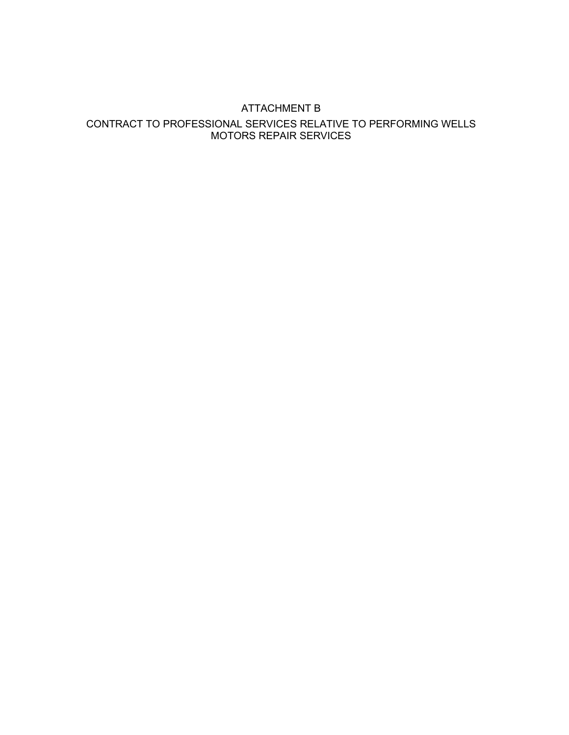#### ATTACHMENT B

#### CONTRACT TO PROFESSIONAL SERVICES RELATIVE TO PERFORMING WELLS MOTORS REPAIR SERVICES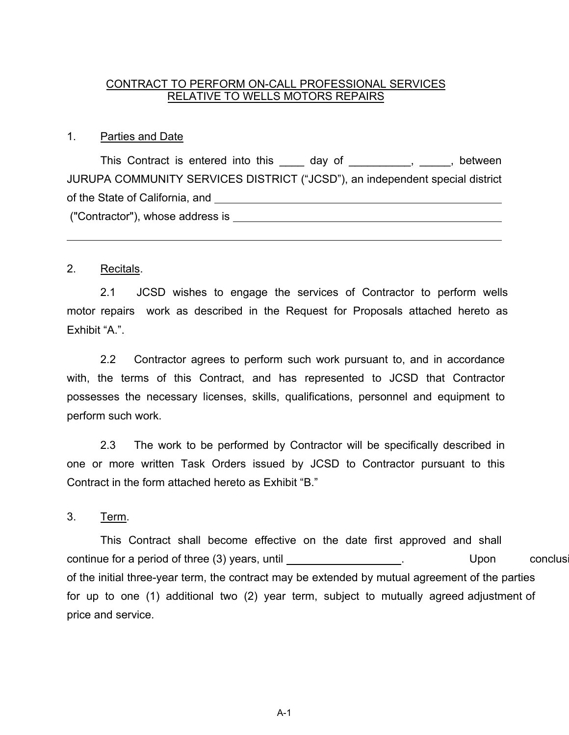#### CONTRACT TO PERFORM ON-CALL PROFESSIONAL SERVICES RELATIVE TO WELLS MOTORS REPAIRS

#### 1. Parties and Date

This Contract is entered into this \_\_\_\_ day of \_\_\_\_\_\_\_\_\_, \_\_\_\_, between JURUPA COMMUNITY SERVICES DISTRICT ("JCSD"), an independent special district of the State of California, and ("Contractor"), whose address is

#### 2. Recitals.

2.1 JCSD wishes to engage the services of Contractor to perform wells motor repairs work as described in the Request for Proposals attached hereto as Exhibit "A.".

2.2 Contractor agrees to perform such work pursuant to, and in accordance with, the terms of this Contract, and has represented to JCSD that Contractor possesses the necessary licenses, skills, qualifications, personnel and equipment to perform such work.

2.3 The work to be performed by Contractor will be specifically described in one or more written Task Orders issued by JCSD to Contractor pursuant to this Contract in the form attached hereto as Exhibit "B."

3. Term.

This Contract shall become effective on the date first approved and shall continue for a period of three (3) years, until **Example 20** in the secondusion of the Upon conclusion of the example of the example of the example of the example of the example of the example of the example of the example of the initial three-year term, the contract may be extended by mutual agreement of the parties for up to one (1) additional two (2) year term, subject to mutually agreed adjustment of price and service.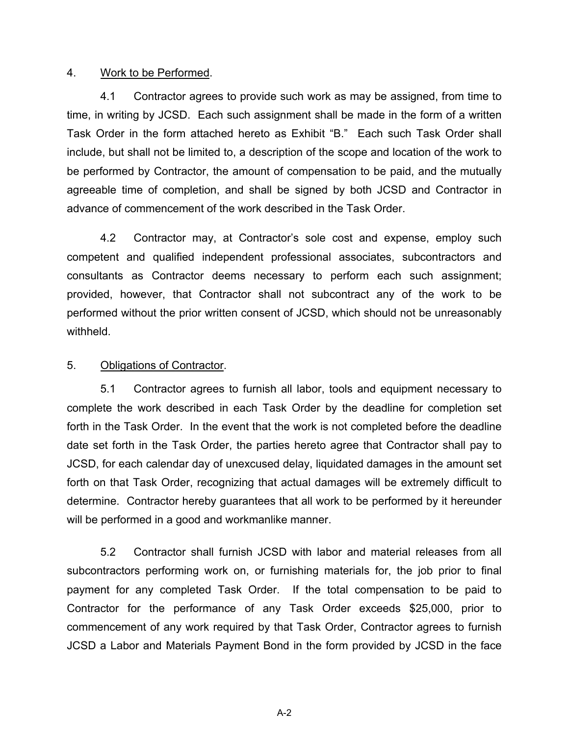#### 4. Work to be Performed.

4.1 Contractor agrees to provide such work as may be assigned, from time to time, in writing by JCSD. Each such assignment shall be made in the form of a written Task Order in the form attached hereto as Exhibit "B." Each such Task Order shall include, but shall not be limited to, a description of the scope and location of the work to be performed by Contractor, the amount of compensation to be paid, and the mutually agreeable time of completion, and shall be signed by both JCSD and Contractor in advance of commencement of the work described in the Task Order.

4.2 Contractor may, at Contractor's sole cost and expense, employ such competent and qualified independent professional associates, subcontractors and consultants as Contractor deems necessary to perform each such assignment; provided, however, that Contractor shall not subcontract any of the work to be performed without the prior written consent of JCSD, which should not be unreasonably withheld.

#### 5. Obligations of Contractor.

5.1 Contractor agrees to furnish all labor, tools and equipment necessary to complete the work described in each Task Order by the deadline for completion set forth in the Task Order. In the event that the work is not completed before the deadline date set forth in the Task Order, the parties hereto agree that Contractor shall pay to JCSD, for each calendar day of unexcused delay, liquidated damages in the amount set forth on that Task Order, recognizing that actual damages will be extremely difficult to determine. Contractor hereby guarantees that all work to be performed by it hereunder will be performed in a good and workmanlike manner.

5.2 Contractor shall furnish JCSD with labor and material releases from all subcontractors performing work on, or furnishing materials for, the job prior to final payment for any completed Task Order. If the total compensation to be paid to Contractor for the performance of any Task Order exceeds \$25,000, prior to commencement of any work required by that Task Order, Contractor agrees to furnish JCSD a Labor and Materials Payment Bond in the form provided by JCSD in the face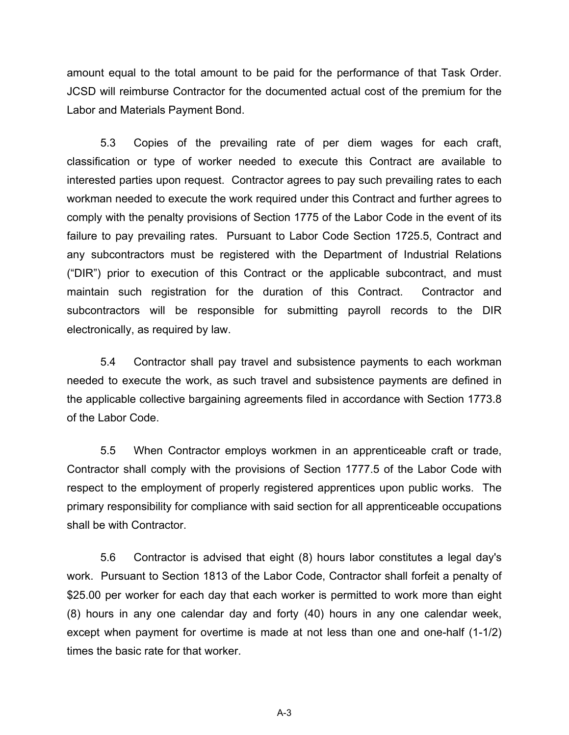amount equal to the total amount to be paid for the performance of that Task Order. JCSD will reimburse Contractor for the documented actual cost of the premium for the Labor and Materials Payment Bond.

5.3 Copies of the prevailing rate of per diem wages for each craft, classification or type of worker needed to execute this Contract are available to interested parties upon request. Contractor agrees to pay such prevailing rates to each workman needed to execute the work required under this Contract and further agrees to comply with the penalty provisions of Section 1775 of the Labor Code in the event of its failure to pay prevailing rates. Pursuant to Labor Code Section 1725.5, Contract and any subcontractors must be registered with the Department of Industrial Relations ("DIR") prior to execution of this Contract or the applicable subcontract, and must maintain such registration for the duration of this Contract. Contractor and subcontractors will be responsible for submitting payroll records to the DIR electronically, as required by law.

5.4 Contractor shall pay travel and subsistence payments to each workman needed to execute the work, as such travel and subsistence payments are defined in the applicable collective bargaining agreements filed in accordance with Section 1773.8 of the Labor Code.

5.5 When Contractor employs workmen in an apprenticeable craft or trade, Contractor shall comply with the provisions of Section 1777.5 of the Labor Code with respect to the employment of properly registered apprentices upon public works. The primary responsibility for compliance with said section for all apprenticeable occupations shall be with Contractor.

5.6 Contractor is advised that eight (8) hours labor constitutes a legal day's work. Pursuant to Section 1813 of the Labor Code, Contractor shall forfeit a penalty of \$25.00 per worker for each day that each worker is permitted to work more than eight (8) hours in any one calendar day and forty (40) hours in any one calendar week, except when payment for overtime is made at not less than one and one-half (1-1/2) times the basic rate for that worker.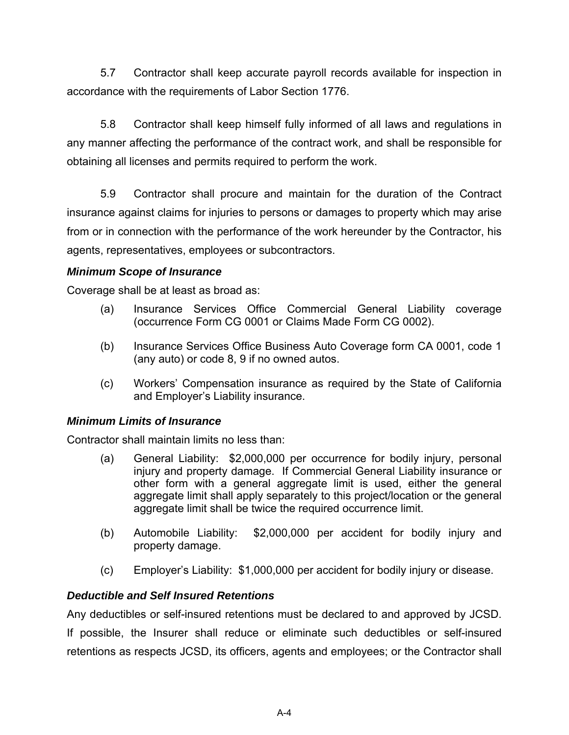5.7 Contractor shall keep accurate payroll records available for inspection in accordance with the requirements of Labor Section 1776.

5.8 Contractor shall keep himself fully informed of all laws and regulations in any manner affecting the performance of the contract work, and shall be responsible for obtaining all licenses and permits required to perform the work.

5.9 Contractor shall procure and maintain for the duration of the Contract insurance against claims for injuries to persons or damages to property which may arise from or in connection with the performance of the work hereunder by the Contractor, his agents, representatives, employees or subcontractors.

#### *Minimum Scope of Insurance*

Coverage shall be at least as broad as:

- (a) Insurance Services Office Commercial General Liability coverage (occurrence Form CG 0001 or Claims Made Form CG 0002).
- (b) Insurance Services Office Business Auto Coverage form CA 0001, code 1 (any auto) or code 8, 9 if no owned autos.
- (c) Workers' Compensation insurance as required by the State of California and Employer's Liability insurance.

#### *Minimum Limits of Insurance*

Contractor shall maintain limits no less than:

- (a) General Liability: \$2,000,000 per occurrence for bodily injury, personal injury and property damage. If Commercial General Liability insurance or other form with a general aggregate limit is used, either the general aggregate limit shall apply separately to this project/location or the general aggregate limit shall be twice the required occurrence limit.
- (b) Automobile Liability: \$2,000,000 per accident for bodily injury and property damage.
- (c) Employer's Liability: \$1,000,000 per accident for bodily injury or disease.

### *Deductible and Self Insured Retentions*

Any deductibles or self-insured retentions must be declared to and approved by JCSD. If possible, the Insurer shall reduce or eliminate such deductibles or self-insured retentions as respects JCSD, its officers, agents and employees; or the Contractor shall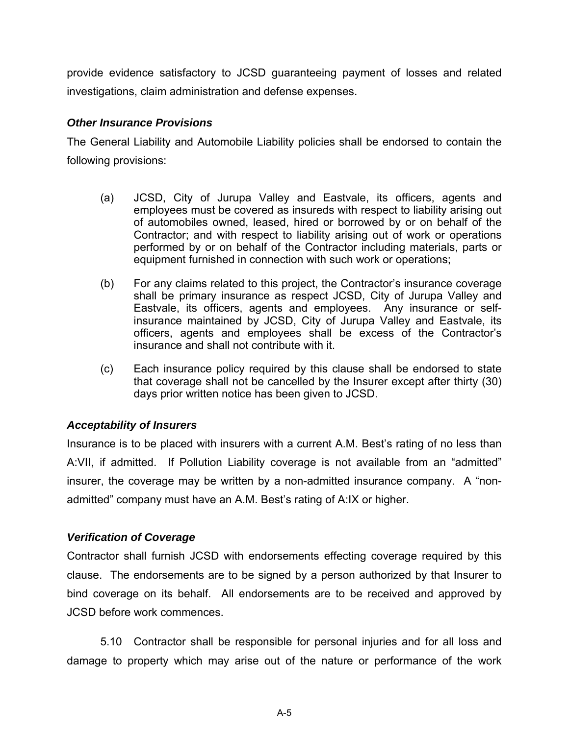provide evidence satisfactory to JCSD guaranteeing payment of losses and related investigations, claim administration and defense expenses.

#### *Other Insurance Provisions*

The General Liability and Automobile Liability policies shall be endorsed to contain the following provisions:

- (a) JCSD, City of Jurupa Valley and Eastvale, its officers, agents and employees must be covered as insureds with respect to liability arising out of automobiles owned, leased, hired or borrowed by or on behalf of the Contractor; and with respect to liability arising out of work or operations performed by or on behalf of the Contractor including materials, parts or equipment furnished in connection with such work or operations;
- (b) For any claims related to this project, the Contractor's insurance coverage shall be primary insurance as respect JCSD, City of Jurupa Valley and Eastvale, its officers, agents and employees. Any insurance or selfinsurance maintained by JCSD, City of Jurupa Valley and Eastvale, its officers, agents and employees shall be excess of the Contractor's insurance and shall not contribute with it.
- (c) Each insurance policy required by this clause shall be endorsed to state that coverage shall not be cancelled by the Insurer except after thirty (30) days prior written notice has been given to JCSD.

### *Acceptability of Insurers*

Insurance is to be placed with insurers with a current A.M. Best's rating of no less than A:VII, if admitted. If Pollution Liability coverage is not available from an "admitted" insurer, the coverage may be written by a non-admitted insurance company. A "nonadmitted" company must have an A.M. Best's rating of A:IX or higher.

### *Verification of Coverage*

Contractor shall furnish JCSD with endorsements effecting coverage required by this clause. The endorsements are to be signed by a person authorized by that Insurer to bind coverage on its behalf. All endorsements are to be received and approved by JCSD before work commences.

5.10 Contractor shall be responsible for personal injuries and for all loss and damage to property which may arise out of the nature or performance of the work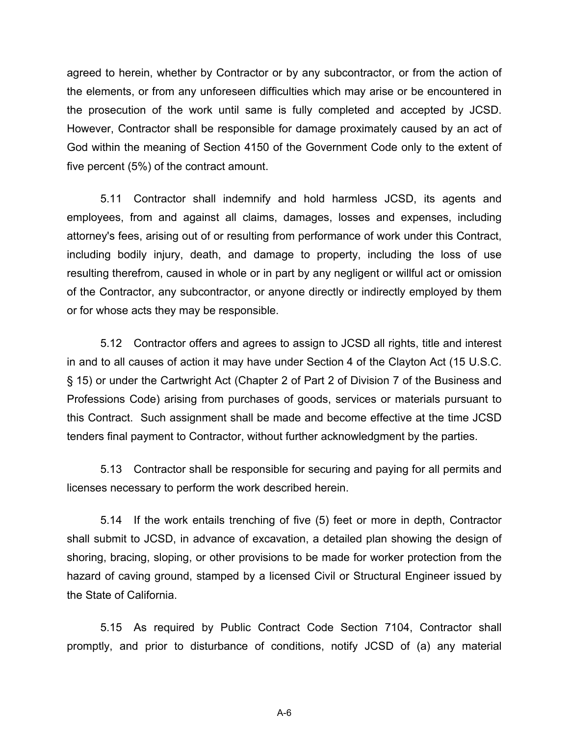agreed to herein, whether by Contractor or by any subcontractor, or from the action of the elements, or from any unforeseen difficulties which may arise or be encountered in the prosecution of the work until same is fully completed and accepted by JCSD. However, Contractor shall be responsible for damage proximately caused by an act of God within the meaning of Section 4150 of the Government Code only to the extent of five percent (5%) of the contract amount.

5.11 Contractor shall indemnify and hold harmless JCSD, its agents and employees, from and against all claims, damages, losses and expenses, including attorney's fees, arising out of or resulting from performance of work under this Contract, including bodily injury, death, and damage to property, including the loss of use resulting therefrom, caused in whole or in part by any negligent or willful act or omission of the Contractor, any subcontractor, or anyone directly or indirectly employed by them or for whose acts they may be responsible.

5.12 Contractor offers and agrees to assign to JCSD all rights, title and interest in and to all causes of action it may have under Section 4 of the Clayton Act (15 U.S.C. § 15) or under the Cartwright Act (Chapter 2 of Part 2 of Division 7 of the Business and Professions Code) arising from purchases of goods, services or materials pursuant to this Contract. Such assignment shall be made and become effective at the time JCSD tenders final payment to Contractor, without further acknowledgment by the parties.

5.13 Contractor shall be responsible for securing and paying for all permits and licenses necessary to perform the work described herein.

5.14 If the work entails trenching of five (5) feet or more in depth, Contractor shall submit to JCSD, in advance of excavation, a detailed plan showing the design of shoring, bracing, sloping, or other provisions to be made for worker protection from the hazard of caving ground, stamped by a licensed Civil or Structural Engineer issued by the State of California.

5.15 As required by Public Contract Code Section 7104, Contractor shall promptly, and prior to disturbance of conditions, notify JCSD of (a) any material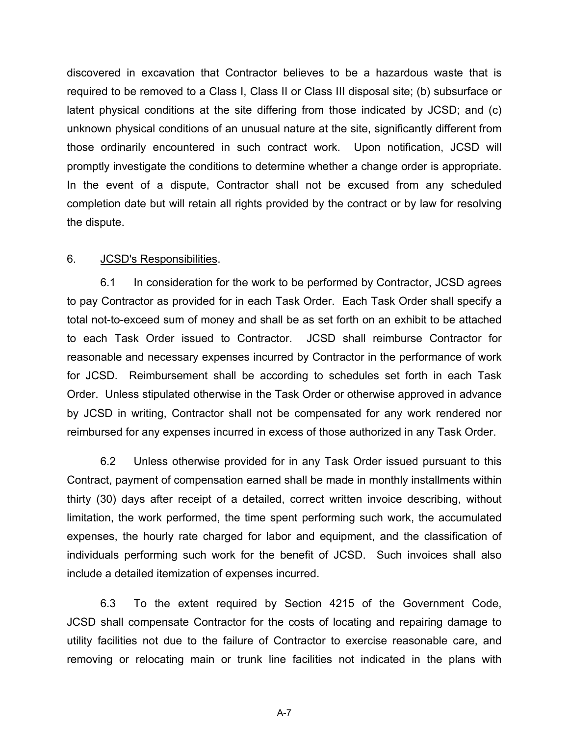discovered in excavation that Contractor believes to be a hazardous waste that is required to be removed to a Class I, Class II or Class III disposal site; (b) subsurface or latent physical conditions at the site differing from those indicated by JCSD; and (c) unknown physical conditions of an unusual nature at the site, significantly different from those ordinarily encountered in such contract work. Upon notification, JCSD will promptly investigate the conditions to determine whether a change order is appropriate. In the event of a dispute, Contractor shall not be excused from any scheduled completion date but will retain all rights provided by the contract or by law for resolving the dispute.

#### 6. JCSD's Responsibilities.

6.1 In consideration for the work to be performed by Contractor, JCSD agrees to pay Contractor as provided for in each Task Order. Each Task Order shall specify a total not-to-exceed sum of money and shall be as set forth on an exhibit to be attached to each Task Order issued to Contractor. JCSD shall reimburse Contractor for reasonable and necessary expenses incurred by Contractor in the performance of work for JCSD. Reimbursement shall be according to schedules set forth in each Task Order. Unless stipulated otherwise in the Task Order or otherwise approved in advance by JCSD in writing, Contractor shall not be compensated for any work rendered nor reimbursed for any expenses incurred in excess of those authorized in any Task Order.

6.2 Unless otherwise provided for in any Task Order issued pursuant to this Contract, payment of compensation earned shall be made in monthly installments within thirty (30) days after receipt of a detailed, correct written invoice describing, without limitation, the work performed, the time spent performing such work, the accumulated expenses, the hourly rate charged for labor and equipment, and the classification of individuals performing such work for the benefit of JCSD. Such invoices shall also include a detailed itemization of expenses incurred.

6.3 To the extent required by Section 4215 of the Government Code, JCSD shall compensate Contractor for the costs of locating and repairing damage to utility facilities not due to the failure of Contractor to exercise reasonable care, and removing or relocating main or trunk line facilities not indicated in the plans with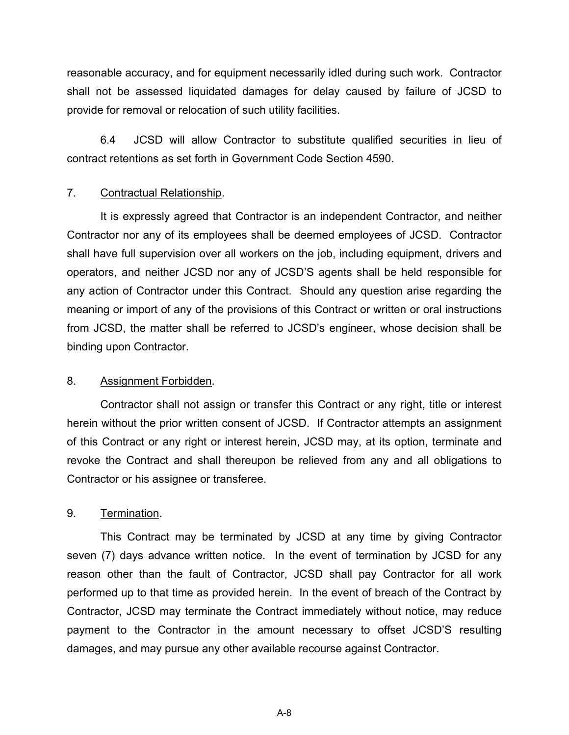reasonable accuracy, and for equipment necessarily idled during such work. Contractor shall not be assessed liquidated damages for delay caused by failure of JCSD to provide for removal or relocation of such utility facilities.

6.4 JCSD will allow Contractor to substitute qualified securities in lieu of contract retentions as set forth in Government Code Section 4590.

#### 7. Contractual Relationship.

 It is expressly agreed that Contractor is an independent Contractor, and neither Contractor nor any of its employees shall be deemed employees of JCSD. Contractor shall have full supervision over all workers on the job, including equipment, drivers and operators, and neither JCSD nor any of JCSD'S agents shall be held responsible for any action of Contractor under this Contract. Should any question arise regarding the meaning or import of any of the provisions of this Contract or written or oral instructions from JCSD, the matter shall be referred to JCSD's engineer, whose decision shall be binding upon Contractor.

#### 8. Assignment Forbidden.

 Contractor shall not assign or transfer this Contract or any right, title or interest herein without the prior written consent of JCSD. If Contractor attempts an assignment of this Contract or any right or interest herein, JCSD may, at its option, terminate and revoke the Contract and shall thereupon be relieved from any and all obligations to Contractor or his assignee or transferee.

#### 9. Termination.

 This Contract may be terminated by JCSD at any time by giving Contractor seven (7) days advance written notice. In the event of termination by JCSD for any reason other than the fault of Contractor, JCSD shall pay Contractor for all work performed up to that time as provided herein. In the event of breach of the Contract by Contractor, JCSD may terminate the Contract immediately without notice, may reduce payment to the Contractor in the amount necessary to offset JCSD'S resulting damages, and may pursue any other available recourse against Contractor.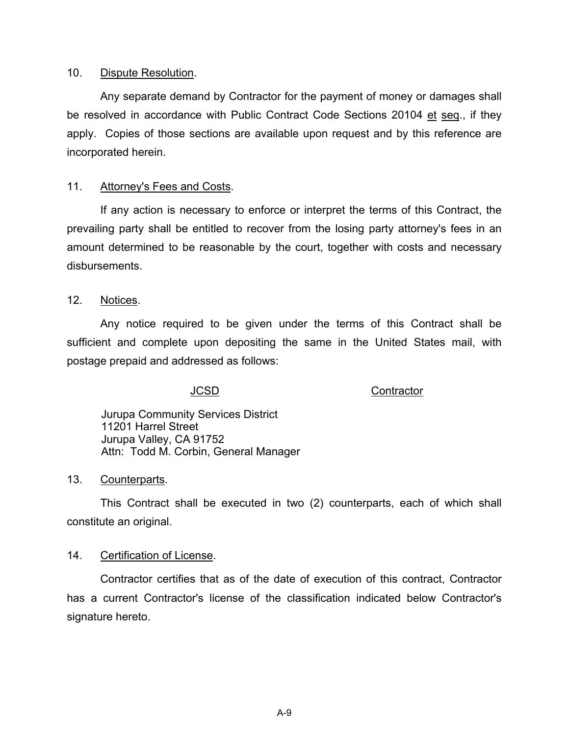#### 10. Dispute Resolution.

 Any separate demand by Contractor for the payment of money or damages shall be resolved in accordance with Public Contract Code Sections 20104 et seq., if they apply. Copies of those sections are available upon request and by this reference are incorporated herein.

#### 11. Attorney's Fees and Costs.

 If any action is necessary to enforce or interpret the terms of this Contract, the prevailing party shall be entitled to recover from the losing party attorney's fees in an amount determined to be reasonable by the court, together with costs and necessary disbursements.

12. Notices.

 Any notice required to be given under the terms of this Contract shall be sufficient and complete upon depositing the same in the United States mail, with postage prepaid and addressed as follows:

JCSD Contractor

Jurupa Community Services District 11201 Harrel Street Jurupa Valley, CA 91752 Attn: Todd M. Corbin, General Manager

#### 13. Counterparts.

 This Contract shall be executed in two (2) counterparts, each of which shall constitute an original.

#### 14. Certification of License.

 Contractor certifies that as of the date of execution of this contract, Contractor has a current Contractor's license of the classification indicated below Contractor's signature hereto.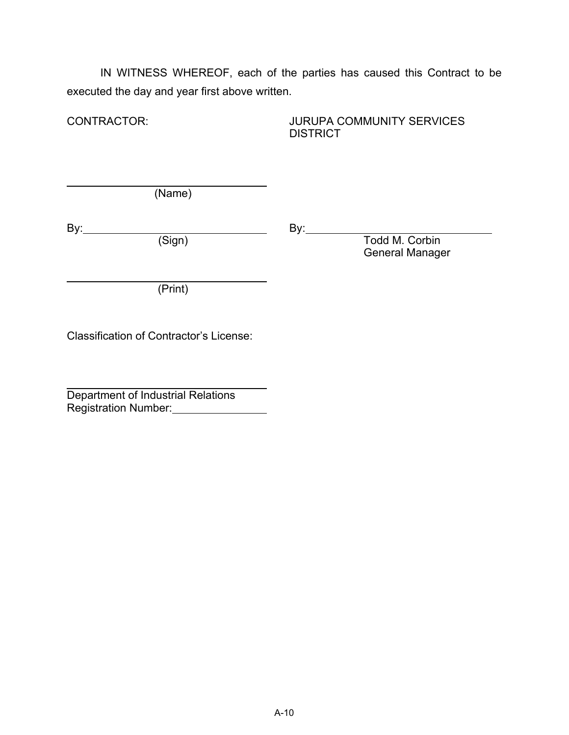IN WITNESS WHEREOF, each of the parties has caused this Contract to be executed the day and year first above written.

CONTRACTOR: JURUPA COMMUNITY SERVICES **DISTRICT** 

(Name)

 $\overline{a}$ 

 $\overline{a}$ 

By: By:

Todd M. Corbin General Manager

(Print)

Classification of Contractor's License:

 $\overline{a}$ Department of Industrial Relations Registration Number:<br>
<u>Letter and the set of the set of the set of the set of the set of the set of the set of the set of the set of the set of the set of the set of the set of the set of the set of the set of the set of t</u>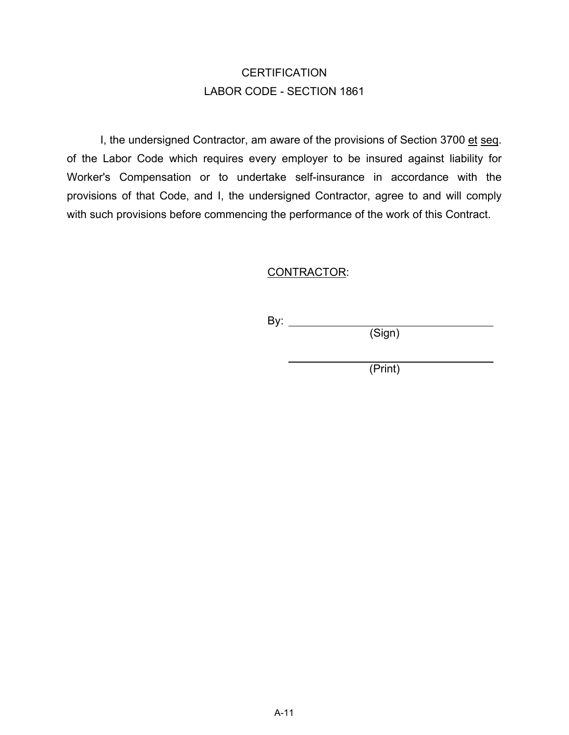# **CERTIFICATION** LABOR CODE - SECTION 1861

I, the undersigned Contractor, am aware of the provisions of Section 3700 et seq. of the Labor Code which requires every employer to be insured against liability for Worker's Compensation or to undertake self-insurance in accordance with the provisions of that Code, and I, the undersigned Contractor, agree to and will comply with such provisions before commencing the performance of the work of this Contract.

### CONTRACTOR:

By:  $\_\_$ 

(Sign)

(Print)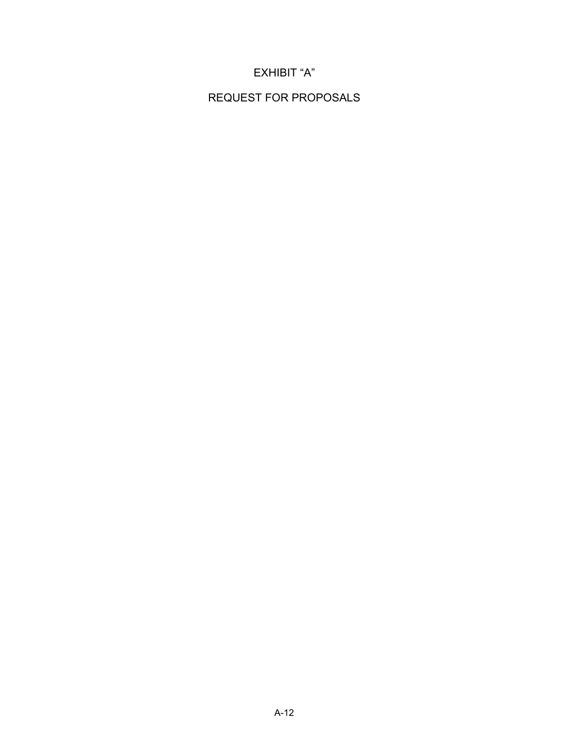## EXHIBIT "A"

REQUEST FOR PROPOSALS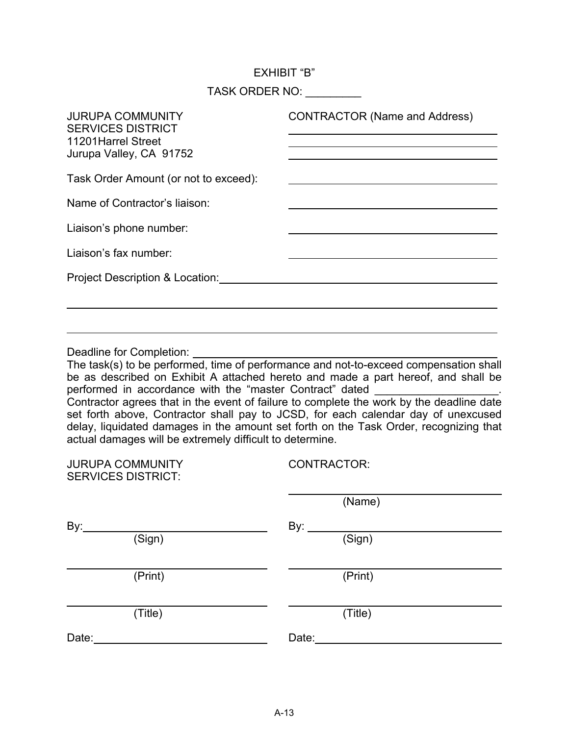#### EXHIBIT "B"

TASK ORDER NO: \_\_\_\_\_\_\_\_

| <b>JURUPA COMMUNITY</b><br><b>SERVICES DISTRICT</b><br>11201 Harrel Street<br>Jurupa Valley, CA 91752 | <b>CONTRACTOR (Name and Address)</b> |
|-------------------------------------------------------------------------------------------------------|--------------------------------------|
| Task Order Amount (or not to exceed):                                                                 |                                      |
| Name of Contractor's liaison:                                                                         |                                      |
| Liaison's phone number:                                                                               |                                      |
| Liaison's fax number:                                                                                 |                                      |
| Project Description & Location:                                                                       |                                      |
|                                                                                                       |                                      |

Deadline for Completion:

 $\overline{a}$ 

The task(s) to be performed, time of performance and not-to-exceed compensation shall be as described on Exhibit A attached hereto and made a part hereof, and shall be performed in accordance with the "master Contract" dated Contractor agrees that in the event of failure to complete the work by the deadline date set forth above, Contractor shall pay to JCSD, for each calendar day of unexcused delay, liquidated damages in the amount set forth on the Task Order, recognizing that actual damages will be extremely difficult to determine.

| <b>CONTRACTOR:</b> |
|--------------------|
| (Name)             |
| By:                |
| (Sign)             |
|                    |
| (Print)            |
| (Title)            |
| Date:              |
|                    |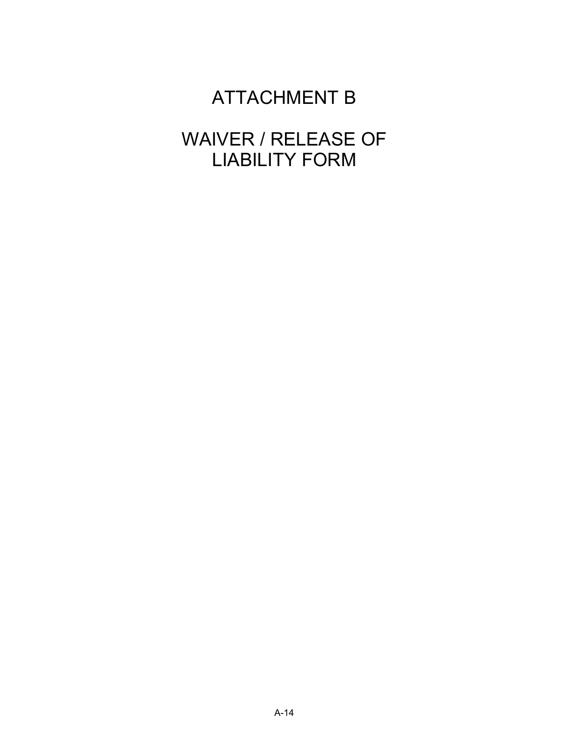# ATTACHMENT B

# WAIVER / RELEASE OF LIABILITY FORM